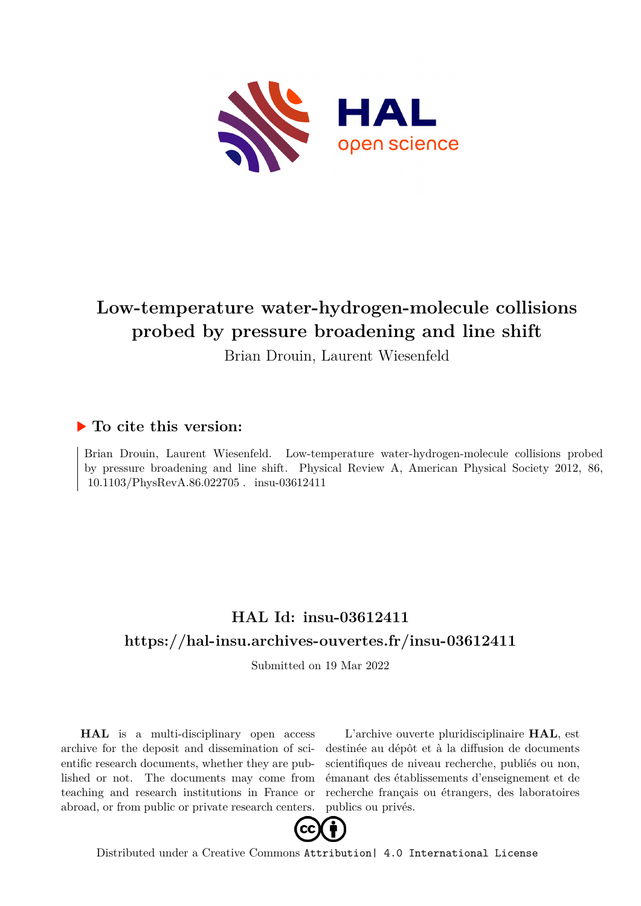

# **Low-temperature water-hydrogen-molecule collisions probed by pressure broadening and line shift**

Brian Drouin, Laurent Wiesenfeld

### **To cite this version:**

Brian Drouin, Laurent Wiesenfeld. Low-temperature water-hydrogen-molecule collisions probed by pressure broadening and line shift. Physical Review A, American Physical Society 2012, 86,  $10.1103/\mathrm{PhysRevA}.86.022705$  .  $\,$  insu-03612411

## **HAL Id: insu-03612411 <https://hal-insu.archives-ouvertes.fr/insu-03612411>**

Submitted on 19 Mar 2022

**HAL** is a multi-disciplinary open access archive for the deposit and dissemination of scientific research documents, whether they are published or not. The documents may come from teaching and research institutions in France or abroad, or from public or private research centers.

L'archive ouverte pluridisciplinaire **HAL**, est destinée au dépôt et à la diffusion de documents scientifiques de niveau recherche, publiés ou non, émanant des établissements d'enseignement et de recherche français ou étrangers, des laboratoires publics ou privés.



Distributed under a Creative Commons [Attribution| 4.0 International License](http://creativecommons.org/licenses/by/4.0/)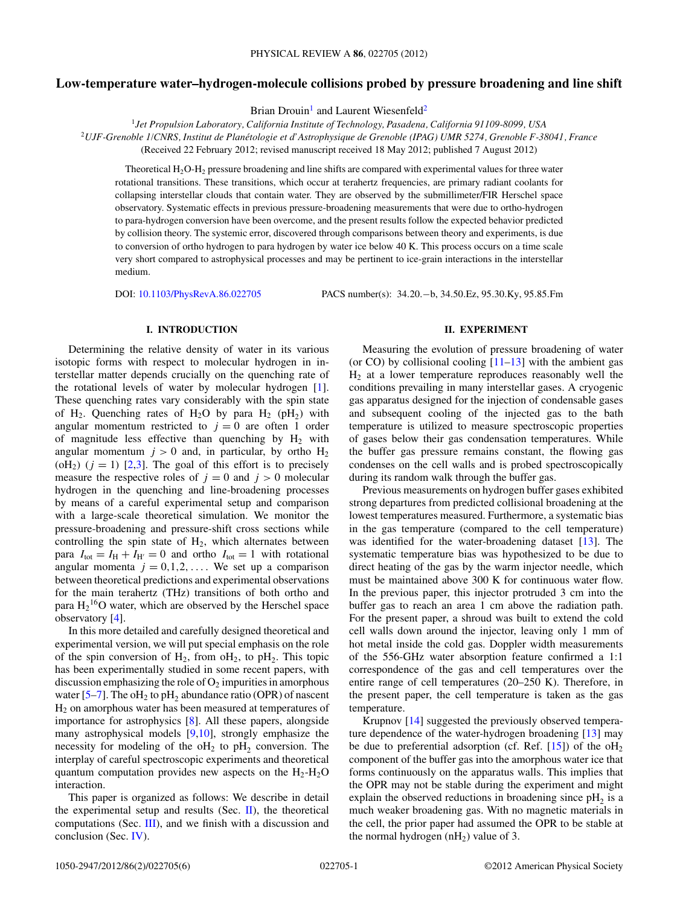#### **Low-temperature water–hydrogen-molecule collisions probed by pressure broadening and line shift**

Brian Drouin<sup>1</sup> and Laurent Wiesenfeld<sup>2</sup>

<sup>1</sup>*Jet Propulsion Laboratory, California Institute of Technology, Pasadena, California 91109-8099, USA* <sup>2</sup>*UJF-Grenoble 1/CNRS, Institut de Planetologie et d'Astrophysique de Grenoble (IPAG) UMR 5274, Grenoble F-38041, France ´* (Received 22 February 2012; revised manuscript received 18 May 2012; published 7 August 2012)

Theoretical H2O-H2 pressure broadening and line shifts are compared with experimental values for three water rotational transitions. These transitions, which occur at terahertz frequencies, are primary radiant coolants for collapsing interstellar clouds that contain water. They are observed by the submillimeter/FIR Herschel space observatory. Systematic effects in previous pressure-broadening measurements that were due to ortho-hydrogen to para-hydrogen conversion have been overcome, and the present results follow the expected behavior predicted by collision theory. The systemic error, discovered through comparisons between theory and experiments, is due to conversion of ortho hydrogen to para hydrogen by water ice below 40 K. This process occurs on a time scale very short compared to astrophysical processes and may be pertinent to ice-grain interactions in the interstellar medium.

DOI: [10.1103/PhysRevA.86.022705](http://dx.doi.org/10.1103/PhysRevA.86.022705) PACS number(s): 34*.*20*.*−b, 34*.*50*.*Ez, 95*.*30*.*Ky, 95*.*85*.*Fm

#### **I. INTRODUCTION**

Determining the relative density of water in its various isotopic forms with respect to molecular hydrogen in interstellar matter depends crucially on the quenching rate of the rotational levels of water by molecular hydrogen [1]. These quenching rates vary considerably with the spin state of H<sub>2</sub>. Quenching rates of H<sub>2</sub>O by para H<sub>2</sub> (pH<sub>2</sub>) with angular momentum restricted to  $j = 0$  are often 1 order of magnitude less effective than quenching by  $H_2$  with angular momentum  $j > 0$  and, in particular, by ortho  $H_2$  $(\text{OH}_2)$   $(j = 1)$  [2,3]. The goal of this effort is to precisely measure the respective roles of  $j = 0$  and  $j > 0$  molecular hydrogen in the quenching and line-broadening processes by means of a careful experimental setup and comparison with a large-scale theoretical simulation. We monitor the pressure-broadening and pressure-shift cross sections while controlling the spin state of  $H_2$ , which alternates between para  $I_{\text{tot}} = I_{\text{H}} + I_{\text{H'}} = 0$  and ortho  $I_{\text{tot}} = 1$  with rotational angular momenta  $j = 0, 1, 2, \ldots$ . We set up a comparison between theoretical predictions and experimental observations for the main terahertz (THz) transitions of both ortho and para  $H_2$ <sup>16</sup>O water, which are observed by the Herschel space observatory [4].

In this more detailed and carefully designed theoretical and experimental version, we will put special emphasis on the role of the spin conversion of  $H_2$ , from  $\delta H_2$ , to  $pH_2$ . This topic has been experimentally studied in some recent papers, with discussion emphasizing the role of  $O_2$  impurities in amorphous water [5–7]. The  $\mathrm{o}H_2$  to  $\mathrm{pH}_2$  abundance ratio (OPR) of nascent H2 on amorphous water has been measured at temperatures of importance for astrophysics [8]. All these papers, alongside many astrophysical models [9,10], strongly emphasize the necessity for modeling of the  $\delta H_2$  to  $pH_2$  conversion. The interplay of careful spectroscopic experiments and theoretical quantum computation provides new aspects on the  $H_2-H_2O$ interaction.

This paper is organized as follows: We describe in detail the experimental setup and results (Sec.  $\Pi$ ), the theoretical computations (Sec. III), and we finish with a discussion and conclusion (Sec. IV).

#### **II. EXPERIMENT**

Measuring the evolution of pressure broadening of water (or CO) by collisional cooling  $[11-13]$  with the ambient gas  $H<sub>2</sub>$  at a lower temperature reproduces reasonably well the conditions prevailing in many interstellar gases. A cryogenic gas apparatus designed for the injection of condensable gases and subsequent cooling of the injected gas to the bath temperature is utilized to measure spectroscopic properties of gases below their gas condensation temperatures. While the buffer gas pressure remains constant, the flowing gas condenses on the cell walls and is probed spectroscopically during its random walk through the buffer gas.

Previous measurements on hydrogen buffer gases exhibited strong departures from predicted collisional broadening at the lowest temperatures measured. Furthermore, a systematic bias in the gas temperature (compared to the cell temperature) was identified for the water-broadening dataset [13]. The systematic temperature bias was hypothesized to be due to direct heating of the gas by the warm injector needle, which must be maintained above 300 K for continuous water flow. In the previous paper, this injector protruded 3 cm into the buffer gas to reach an area 1 cm above the radiation path. For the present paper, a shroud was built to extend the cold cell walls down around the injector, leaving only 1 mm of hot metal inside the cold gas. Doppler width measurements of the 556-GHz water absorption feature confirmed a 1:1 correspondence of the gas and cell temperatures over the entire range of cell temperatures (20–250 K). Therefore, in the present paper, the cell temperature is taken as the gas temperature.

Krupnov [14] suggested the previously observed temperature dependence of the water-hydrogen broadening [13] may be due to preferential adsorption (cf. Ref.  $[15]$ ) of the  $\text{oH}_2$ component of the buffer gas into the amorphous water ice that forms continuously on the apparatus walls. This implies that the OPR may not be stable during the experiment and might explain the observed reductions in broadening since  $pH_2$  is a much weaker broadening gas. With no magnetic materials in the cell, the prior paper had assumed the OPR to be stable at the normal hydrogen  $(nH<sub>2</sub>)$  value of 3.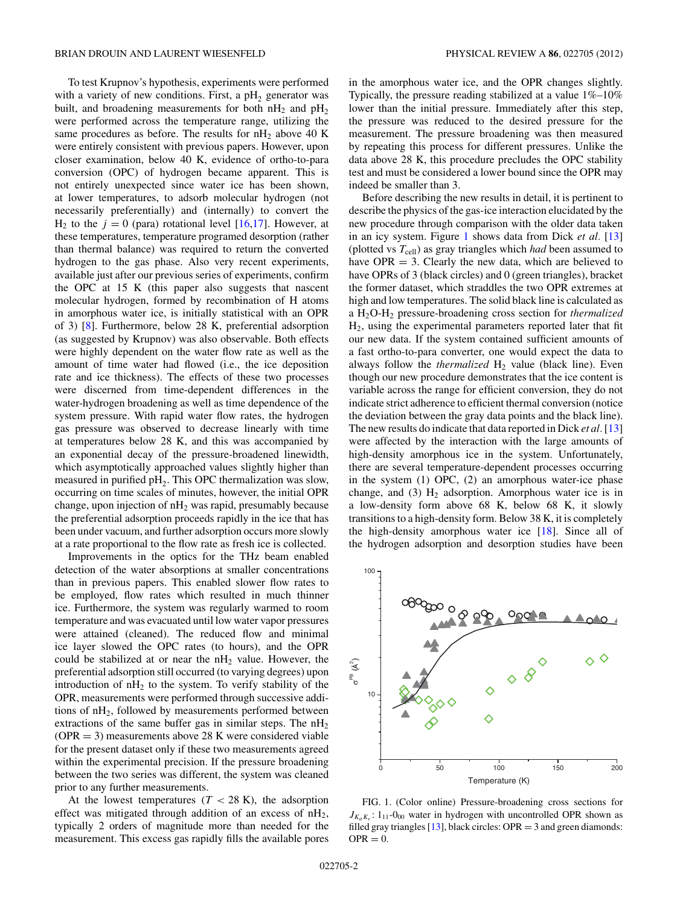To test Krupnov's hypothesis, experiments were performed with a variety of new conditions. First, a  $pH<sub>2</sub>$  generator was built, and broadening measurements for both  $nH_2$  and  $pH_2$ were performed across the temperature range, utilizing the same procedures as before. The results for  $nH_2$  above 40 K were entirely consistent with previous papers. However, upon closer examination, below 40 K, evidence of ortho-to-para conversion (OPC) of hydrogen became apparent. This is not entirely unexpected since water ice has been shown, at lower temperatures, to adsorb molecular hydrogen (not necessarily preferentially) and (internally) to convert the  $H_2$  to the  $j = 0$  (para) rotational level [16,17]. However, at these temperatures, temperature programed desorption (rather than thermal balance) was required to return the converted hydrogen to the gas phase. Also very recent experiments, available just after our previous series of experiments, confirm the OPC at 15 K (this paper also suggests that nascent molecular hydrogen, formed by recombination of H atoms in amorphous water ice, is initially statistical with an OPR of 3) [8]. Furthermore, below 28 K, preferential adsorption (as suggested by Krupnov) was also observable. Both effects were highly dependent on the water flow rate as well as the amount of time water had flowed (i.e., the ice deposition rate and ice thickness). The effects of these two processes were discerned from time-dependent differences in the water-hydrogen broadening as well as time dependence of the system pressure. With rapid water flow rates, the hydrogen gas pressure was observed to decrease linearly with time at temperatures below 28 K, and this was accompanied by an exponential decay of the pressure-broadened linewidth, which asymptotically approached values slightly higher than measured in purified  $pH<sub>2</sub>$ . This OPC thermalization was slow, occurring on time scales of minutes, however, the initial OPR change, upon injection of  $nH_2$  was rapid, presumably because the preferential adsorption proceeds rapidly in the ice that has been under vacuum, and further adsorption occurs more slowly at a rate proportional to the flow rate as fresh ice is collected.

Improvements in the optics for the THz beam enabled detection of the water absorptions at smaller concentrations than in previous papers. This enabled slower flow rates to be employed, flow rates which resulted in much thinner ice. Furthermore, the system was regularly warmed to room temperature and was evacuated until low water vapor pressures were attained (cleaned). The reduced flow and minimal ice layer slowed the OPC rates (to hours), and the OPR could be stabilized at or near the  $nH_2$  value. However, the preferential adsorption still occurred (to varying degrees) upon introduction of  $nH_2$  to the system. To verify stability of the OPR, measurements were performed through successive additions of nH<sub>2</sub>, followed by measurements performed between extractions of the same buffer gas in similar steps. The  $nH_2$  $(OPR = 3)$  measurements above 28 K were considered viable for the present dataset only if these two measurements agreed within the experimental precision. If the pressure broadening between the two series was different, the system was cleaned prior to any further measurements.

At the lowest temperatures  $(T < 28 \text{ K})$ , the adsorption effect was mitigated through addition of an excess of nH<sub>2</sub>, typically 2 orders of magnitude more than needed for the measurement. This excess gas rapidly fills the available pores

in the amorphous water ice, and the OPR changes slightly. Typically, the pressure reading stabilized at a value 1%–10% lower than the initial pressure. Immediately after this step, the pressure was reduced to the desired pressure for the measurement. The pressure broadening was then measured by repeating this process for different pressures. Unlike the data above 28 K, this procedure precludes the OPC stability test and must be considered a lower bound since the OPR may indeed be smaller than 3.

Before describing the new results in detail, it is pertinent to describe the physics of the gas-ice interaction elucidated by the new procedure through comparison with the older data taken in an icy system. Figure 1 shows data from Dick *et al.* [13] (plotted vs  $T_{cell}$ ) as gray triangles which *had* been assumed to have  $OPR = 3$ . Clearly the new data, which are believed to have OPRs of 3 (black circles) and 0 (green triangles), bracket the former dataset, which straddles the two OPR extremes at high and low temperatures. The solid black line is calculated as a H2O-H2 pressure-broadening cross section for *thermalized* H2, using the experimental parameters reported later that fit our new data. If the system contained sufficient amounts of a fast ortho-to-para converter, one would expect the data to always follow the *thermalized*  $H_2$  value (black line). Even though our new procedure demonstrates that the ice content is variable across the range for efficient conversion, they do not indicate strict adherence to efficient thermal conversion (notice the deviation between the gray data points and the black line). The new results do indicate that data reported in Dick *et al.* [13] were affected by the interaction with the large amounts of high-density amorphous ice in the system. Unfortunately, there are several temperature-dependent processes occurring in the system (1) OPC, (2) an amorphous water-ice phase change, and  $(3)$  H<sub>2</sub> adsorption. Amorphous water ice is in a low-density form above 68 K, below 68 K, it slowly transitions to a high-density form. Below 38 K, it is completely the high-density amorphous water ice [18]. Since all of the hydrogen adsorption and desorption studies have been



FIG. 1. (Color online) Pressure-broadening cross sections for  $J_{K_aK_c}$ : 1<sub>11</sub>-0<sub>00</sub> water in hydrogen with uncontrolled OPR shown as filled gray triangles [13], black circles: OPR =  $3$  and green diamonds:  $OPR = 0.$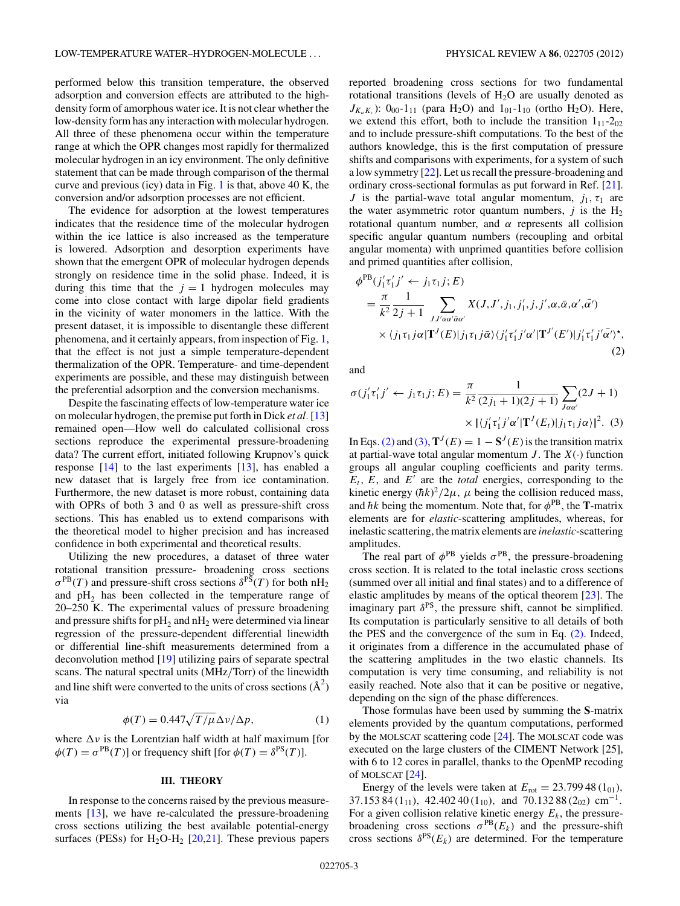performed below this transition temperature, the observed adsorption and conversion effects are attributed to the highdensity form of amorphous water ice. It is not clear whether the low-density form has any interaction with molecular hydrogen. All three of these phenomena occur within the temperature range at which the OPR changes most rapidly for thermalized molecular hydrogen in an icy environment. The only definitive statement that can be made through comparison of the thermal curve and previous (icy) data in Fig. 1 is that, above 40 K, the conversion and/or adsorption processes are not efficient.

The evidence for adsorption at the lowest temperatures indicates that the residence time of the molecular hydrogen within the ice lattice is also increased as the temperature is lowered. Adsorption and desorption experiments have shown that the emergent OPR of molecular hydrogen depends strongly on residence time in the solid phase. Indeed, it is during this time that the  $j = 1$  hydrogen molecules may come into close contact with large dipolar field gradients in the vicinity of water monomers in the lattice. With the present dataset, it is impossible to disentangle these different phenomena, and it certainly appears, from inspection of Fig. 1, that the effect is not just a simple temperature-dependent thermalization of the OPR. Temperature- and time-dependent experiments are possible, and these may distinguish between the preferential adsorption and the conversion mechanisms.

Despite the fascinating effects of low-temperature water ice on molecular hydrogen, the premise put forth in Dick *et al.* [13] remained open—How well do calculated collisional cross sections reproduce the experimental pressure-broadening data? The current effort, initiated following Krupnov's quick response [14] to the last experiments [13], has enabled a new dataset that is largely free from ice contamination. Furthermore, the new dataset is more robust, containing data with OPRs of both 3 and 0 as well as pressure-shift cross sections. This has enabled us to extend comparisons with the theoretical model to higher precision and has increased confidence in both experimental and theoretical results.

Utilizing the new procedures, a dataset of three water rotational transition pressure- broadening cross sections  $\sigma^{PB}(T)$  and pressure-shift cross sections  $\delta^{P\bar{S}}(T)$  for both nH<sub>2</sub> and  $pH_2$  has been collected in the temperature range of 20–250 K. The experimental values of pressure broadening and pressure shifts for  $pH_2$  and  $nH_2$  were determined via linear regression of the pressure-dependent differential linewidth or differential line-shift measurements determined from a deconvolution method [19] utilizing pairs of separate spectral scans. The natural spectral units (MHz*/*Torr) of the linewidth and line shift were converted to the units of cross sections  $(\text{\AA}^2)$ via

$$
\phi(T) = 0.447 \sqrt{T/\mu} \Delta \nu / \Delta p,\tag{1}
$$

where  $\Delta v$  is the Lorentzian half width at half maximum [for  $\phi(T) = \sigma^{PB}(T)$ ] or frequency shift [for  $\phi(T) = \delta^{PS}(T)$ ].

#### **III. THEORY**

In response to the concerns raised by the previous measurements [13], we have re-calculated the pressure-broadening cross sections utilizing the best available potential-energy surfaces (PESs) for  $H_2O-H_2$  [20,21]. These previous papers

reported broadening cross sections for two fundamental rotational transitions (levels of  $H_2O$  are usually denoted as  $J_{K_aK_c}$ : 0<sub>00</sub>-1<sub>11</sub> (para H<sub>2</sub>O) and 1<sub>01</sub>-1<sub>10</sub> (ortho H<sub>2</sub>O). Here, we extend this effort, both to include the transition  $1_{11}$ - $2_{02}$ and to include pressure-shift computations. To the best of the authors knowledge, this is the first computation of pressure shifts and comparisons with experiments, for a system of such a low symmetry [22]. Let us recall the pressure-broadening and ordinary cross-sectional formulas as put forward in Ref. [21]. *J* is the partial-wave total angular momentum,  $j_1, \tau_1$  are the water asymmetric rotor quantum numbers,  $j$  is the  $H_2$ rotational quantum number, and *α* represents all collision specific angular quantum numbers (recoupling and orbital angular momenta) with unprimed quantities before collision and primed quantities after collision,

$$
\phi^{\text{PB}}(j'_1 \tau'_1 j' \leftarrow j_1 \tau_1 j; E)
$$
\n
$$
= \frac{\pi}{k^2} \frac{1}{2j+1} \sum_{J' \alpha \alpha' \bar{\alpha} \alpha'} X(J, J', j_1, j'_1, j, j', \alpha, \bar{\alpha}, \alpha', \bar{\alpha'})
$$
\n
$$
\times \langle j_1 \tau_1 j \alpha | \mathbf{T}^J(E) | j_1 \tau_1 j \bar{\alpha} \rangle \langle j'_1 \tau'_1 j' \alpha' | \mathbf{T}^{J'}(E') | j'_1 \tau'_1 j' \bar{\alpha'} \rangle^*,
$$
\n(2)

and

$$
\sigma(j'_1 \tau'_1 j' \leftarrow j_1 \tau_1 j; E) = \frac{\pi}{k^2} \frac{1}{(2j_1 + 1)(2j + 1)} \sum_{j \alpha \alpha'} (2J + 1)
$$

$$
\times |(j'_1 \tau'_1 j' \alpha' | \mathbf{T}'(E_t) | j_1 \tau_1 j \alpha'|^2. (3)
$$

In Eqs. (2) and (3),  $\mathbf{T}^{J}(E) = 1 - \mathbf{S}^{J}(E)$  is the transition matrix at partial-wave total angular momentum  $J$ . The  $X(\cdot)$  function groups all angular coupling coefficients and parity terms.  $E_t$ ,  $E$ , and  $E'$  are the *total* energies, corresponding to the kinetic energy  $(\hbar k)^2/2\mu$ ,  $\mu$  being the collision reduced mass, and  $\hbar k$  being the momentum. Note that, for  $\phi^{\text{PB}}$ , the **T**-matrix elements are for *elastic*-scattering amplitudes, whereas, for inelastic scattering, the matrix elements are *inelastic*-scattering amplitudes.

The real part of  $\phi^{PB}$  yields  $\sigma^{PB}$ , the pressure-broadening cross section. It is related to the total inelastic cross sections (summed over all initial and final states) and to a difference of elastic amplitudes by means of the optical theorem [23]. The imaginary part  $\delta^{PS}$ , the pressure shift, cannot be simplified. Its computation is particularly sensitive to all details of both the PES and the convergence of the sum in Eq. (2). Indeed, it originates from a difference in the accumulated phase of the scattering amplitudes in the two elastic channels. Its computation is very time consuming, and reliability is not easily reached. Note also that it can be positive or negative, depending on the sign of the phase differences.

Those formulas have been used by summing the **S**-matrix elements provided by the quantum computations, performed by the MOLSCAT scattering code  $[24]$ . The MOLSCAT code was executed on the large clusters of the CIMENT Network [25], with 6 to 12 cores in parallel, thanks to the OpenMP recoding of MOLSCAT [24].

Energy of the levels were taken at  $E_{\text{rot}} = 23.79948(1_{01}),$ 37.153 84 (1<sub>11</sub>), 42.402 40 (1<sub>10</sub>), and 70.132 88 (2<sub>02</sub>) cm<sup>-1</sup>. For a given collision relative kinetic energy  $E<sub>k</sub>$ , the pressurebroadening cross sections  $\sigma^{PB}(E_k)$  and the pressure-shift cross sections  $\delta^{PS}(E_k)$  are determined. For the temperature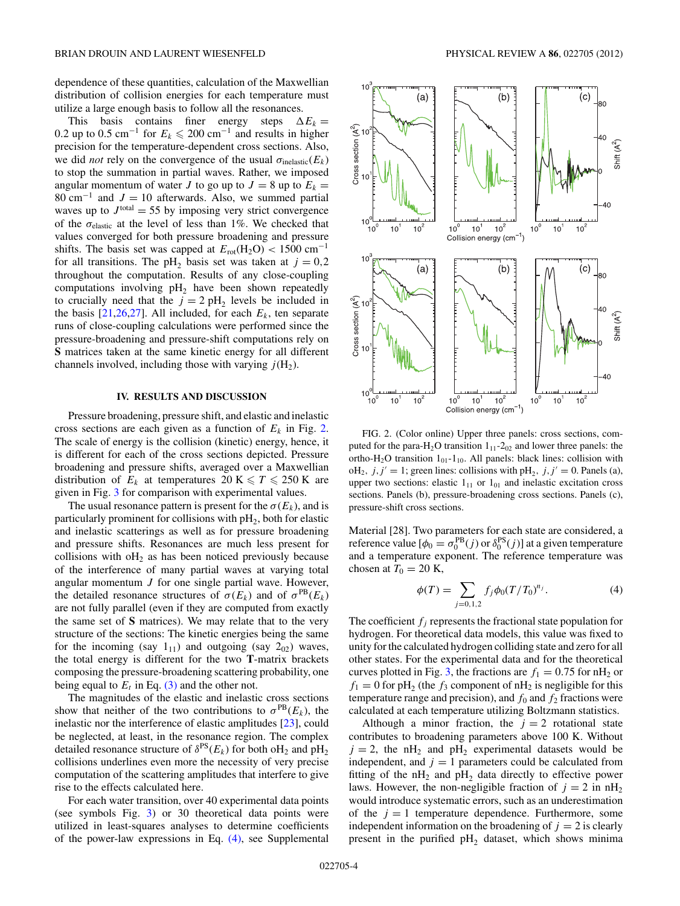dependence of these quantities, calculation of the Maxwellian distribution of collision energies for each temperature must utilize a large enough basis to follow all the resonances.

This basis contains finer energy steps  $\Delta E_k =$ 0.2 up to 0.5 cm<sup>-1</sup> for  $E_k \le 200$  cm<sup>-1</sup> and results in higher precision for the temperature-dependent cross sections. Also, we did *not* rely on the convergence of the usual  $\sigma_{\text{inelastic}}(E_k)$ to stop the summation in partial waves. Rather, we imposed angular momentum of water *J* to go up to  $J = 8$  up to  $E_k =$ 80 cm<sup>-1</sup> and  $J = 10$  afterwards. Also, we summed partial waves up to  $J<sup>total</sup> = 55$  by imposing very strict convergence of the *σ*elastic at the level of less than 1%. We checked that values converged for both pressure broadening and pressure shifts. The basis set was capped at  $E_{\text{rot}}(H_2O) < 1500 \text{ cm}^{-1}$ for all transitions. The pH<sub>2</sub> basis set was taken at  $j = 0.2$ throughout the computation. Results of any close-coupling computations involving  $pH_2$  have been shown repeatedly to crucially need that the  $j = 2$  pH<sub>2</sub> levels be included in the basis  $[21,26,27]$ . All included, for each  $E<sub>k</sub>$ , ten separate runs of close-coupling calculations were performed since the pressure-broadening and pressure-shift computations rely on **S** matrices taken at the same kinetic energy for all different channels involved, including those with varying  $j(H_2)$ .

#### **IV. RESULTS AND DISCUSSION**

Pressure broadening, pressure shift, and elastic and inelastic cross sections are each given as a function of  $E_k$  in Fig. 2. The scale of energy is the collision (kinetic) energy, hence, it is different for each of the cross sections depicted. Pressure broadening and pressure shifts, averaged over a Maxwellian distribution of  $E_k$  at temperatures 20 K  $\leq T \leq 250$  K are given in Fig. 3 for comparison with experimental values.

The usual resonance pattern is present for the  $\sigma(E_k)$ , and is particularly prominent for collisions with  $pH_2$ , both for elastic and inelastic scatterings as well as for pressure broadening and pressure shifts. Resonances are much less present for collisions with  $\delta H_2$  as has been noticed previously because of the interference of many partial waves at varying total angular momentum *J* for one single partial wave. However, the detailed resonance structures of  $\sigma(E_k)$  and of  $\sigma^{PB}(E_k)$ are not fully parallel (even if they are computed from exactly the same set of **S** matrices). We may relate that to the very structure of the sections: The kinetic energies being the same for the incoming (say  $1_{11}$ ) and outgoing (say  $2_{02}$ ) waves, the total energy is different for the two **T**-matrix brackets composing the pressure-broadening scattering probability, one being equal to  $E_t$  in Eq. (3) and the other not.

The magnitudes of the elastic and inelastic cross sections show that neither of the two contributions to  $\sigma^{PB}(E_k)$ , the inelastic nor the interference of elastic amplitudes [23], could be neglected, at least, in the resonance region. The complex detailed resonance structure of  $\delta^{PS}(E_k)$  for both oH<sub>2</sub> and pH<sub>2</sub> collisions underlines even more the necessity of very precise computation of the scattering amplitudes that interfere to give rise to the effects calculated here.

For each water transition, over 40 experimental data points (see symbols Fig. 3) or 30 theoretical data points were utilized in least-squares analyses to determine coefficients of the power-law expressions in Eq. (4), see Supplemental



FIG. 2. (Color online) Upper three panels: cross sections, computed for the para-H<sub>2</sub>O transition  $1_{11}$ -2<sub>02</sub> and lower three panels: the ortho-H<sub>2</sub>O transition  $1_{01}$ - $1_{10}$ . All panels: black lines: collision with  $\text{oH}_2$ ,  $j, j' = 1$ ; green lines: collisions with pH<sub>2</sub>,  $j, j' = 0$ . Panels (a), upper two sections: elastic  $1_{11}$  or  $1_{01}$  and inelastic excitation cross sections. Panels (b), pressure-broadening cross sections. Panels (c), pressure-shift cross sections.

Material [28]. Two parameters for each state are considered, a reference value  $[\phi_0 = \sigma_0^{PB}(j) \text{ or } \delta_0^{PS}(j)]$  at a given temperature and a temperature exponent. The reference temperature was chosen at  $T_0 = 20$  K,

$$
\phi(T) = \sum_{j=0,1,2} f_j \phi_0(T/T_0)^{n_j}.
$$
 (4)

The coefficient  $f_i$  represents the fractional state population for hydrogen. For theoretical data models, this value was fixed to unity for the calculated hydrogen colliding state and zero for all other states. For the experimental data and for the theoretical curves plotted in Fig. 3, the fractions are  $f_1 = 0.75$  for nH<sub>2</sub> or  $f_1 = 0$  for pH<sub>2</sub> (the  $f_3$  component of nH<sub>2</sub> is negligible for this temperature range and precision), and  $f_0$  and  $f_2$  fractions were calculated at each temperature utilizing Boltzmann statistics.

Although a minor fraction, the  $j = 2$  rotational state contributes to broadening parameters above 100 K. Without  $j = 2$ , the nH<sub>2</sub> and pH<sub>2</sub> experimental datasets would be independent, and  $j = 1$  parameters could be calculated from fitting of the  $nH_2$  and  $pH_2$  data directly to effective power laws. However, the non-negligible fraction of  $j = 2$  in  $nH_2$ would introduce systematic errors, such as an underestimation of the  $j = 1$  temperature dependence. Furthermore, some independent information on the broadening of  $j = 2$  is clearly present in the purified  $pH_2$  dataset, which shows minima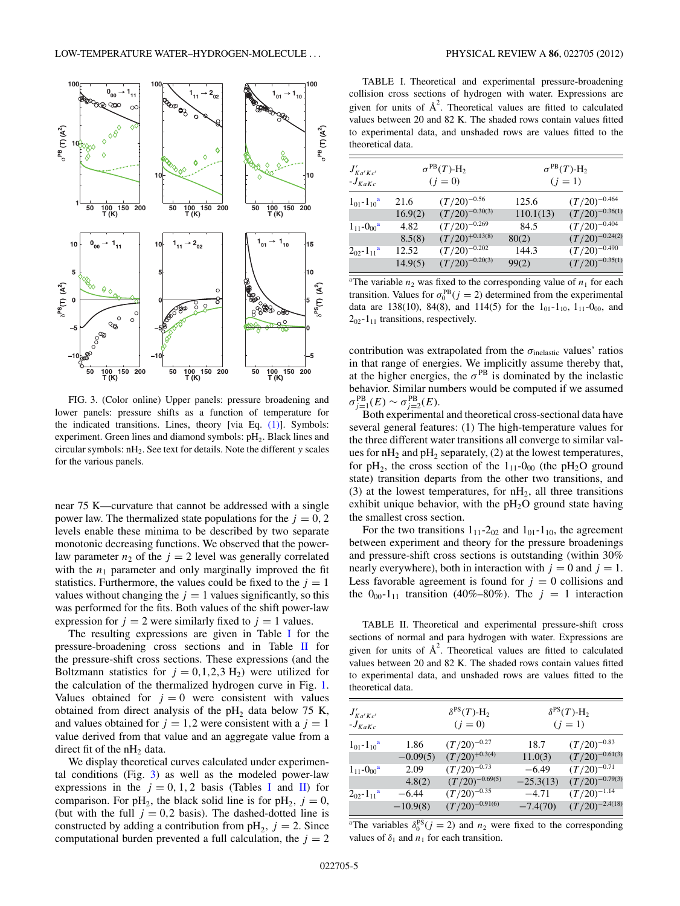

FIG. 3. (Color online) Upper panels: pressure broadening and lower panels: pressure shifts as a function of temperature for the indicated transitions. Lines, theory [via Eq.  $(1)$ ]. Symbols: experiment. Green lines and diamond symbols:  $pH_2$ . Black lines and circular symbols: nH2. See text for details. Note the different *y* scales for the various panels.

near 75 K—curvature that cannot be addressed with a single power law. The thermalized state populations for the  $j = 0, 2$ levels enable these minima to be described by two separate monotonic decreasing functions. We observed that the powerlaw parameter  $n_2$  of the  $j = 2$  level was generally correlated with the  $n_1$  parameter and only marginally improved the fit statistics. Furthermore, the values could be fixed to the  $j = 1$ values without changing the  $j = 1$  values significantly, so this was performed for the fits. Both values of the shift power-law expression for  $j = 2$  were similarly fixed to  $j = 1$  values.

The resulting expressions are given in Table I for the pressure-broadening cross sections and in Table II for the pressure-shift cross sections. These expressions (and the Boltzmann statistics for  $j = 0, 1, 2, 3$  H<sub>2</sub>) were utilized for the calculation of the thermalized hydrogen curve in Fig. 1. Values obtained for  $j = 0$  were consistent with values obtained from direct analysis of the  $pH<sub>2</sub>$  data below 75 K, and values obtained for  $j = 1,2$  were consistent with a  $j = 1$ value derived from that value and an aggregate value from a direct fit of the  $n_{12}$  data.

We display theoretical curves calculated under experimental conditions (Fig. 3) as well as the modeled power-law expressions in the  $j = 0, 1, 2$  basis (Tables I and II) for comparison. For  $pH_2$ , the black solid line is for  $pH_2$ ,  $j = 0$ , (but with the full  $j = 0.2$  basis). The dashed-dotted line is constructed by adding a contribution from  $pH_2$ ,  $j = 2$ . Since computational burden prevented a full calculation, the  $j = 2$ 

TABLE I. Theoretical and experimental pressure-broadening collision cross sections of hydrogen with water. Expressions are given for units of  $A^2$ . Theoretical values are fitted to calculated values between 20 and 82 K. The shaded rows contain values fitted to experimental data, and unshaded rows are values fitted to the theoretical data.

| $J'_{Ka'Kc'}$<br>$-J_{KaKc}$   | $\sigma^{\text{PB}}(T)$ -H <sub>2</sub><br>$(j = 0)$ |                     | $\sigma^{\text{PB}}(T)$ -H <sub>2</sub><br>$(j = 1)$ |                     |
|--------------------------------|------------------------------------------------------|---------------------|------------------------------------------------------|---------------------|
| $1_{01} - 1_{10}$ <sup>a</sup> | 21.6                                                 | $(T/20)^{-0.56}$    | 125.6                                                | $(T/20)^{-0.464}$   |
|                                | 16.9(2)                                              | $(T/20)^{-0.30(3)}$ | 110.1(13)                                            | $(T/20)^{-0.36(1)}$ |
| $1_{11} - 0_{00}$ <sup>a</sup> | 4.82                                                 | $(T/20)^{-0.269}$   | 84.5                                                 | $(T/20)^{-0.404}$   |
|                                | 8.5(8)                                               | $(T/20)^{+0.13(8)}$ | 80(2)                                                | $(T/20)^{-0.24(2)}$ |
| $2_{02} - 1_{11}$ <sup>a</sup> | 12.52                                                | $(T/20)^{-0.202}$   | 144.3                                                | $(T/20)^{-0.490}$   |
|                                | 14.9(5)                                              | $(T/20)^{-0.20(3)}$ | 99(2)                                                | $(T/20)^{-0.35(1)}$ |

<sup>a</sup>The variable  $n_2$  was fixed to the corresponding value of  $n_1$  for each transition. Values for  $\sigma_0^{PB}$  (*j* = 2) determined from the experimental data are 138(10), 84(8), and 114(5) for the  $1_{01}$ - $1_{10}$ ,  $1_{11}$ - $0_{00}$ , and  $2_{02}$ -1<sub>11</sub> transitions, respectively.

contribution was extrapolated from the  $\sigma_{\text{inelastic}}$  values' ratios in that range of energies. We implicitly assume thereby that, at the higher energies, the  $\sigma^{PB}$  is dominated by the inelastic behavior. Similar numbers would be computed if we assumed  $σ_{j=1}^{PB}(E)$  ∼  $σ_{j=2}^{PB}(E)$ .

Both experimental and theoretical cross-sectional data have several general features: (1) The high-temperature values for the three different water transitions all converge to similar values for  $nH_2$  and  $pH_2$  separately, (2) at the lowest temperatures, for  $pH_2$ , the cross section of the  $1_{11}$ -0<sub>00</sub> (the  $pH_2O$  ground state) transition departs from the other two transitions, and (3) at the lowest temperatures, for  $nH_2$ , all three transitions exhibit unique behavior, with the  $pH_2O$  ground state having the smallest cross section.

For the two transitions  $1_{11}$ -2<sub>02</sub> and  $1_{01}$ -1<sub>10</sub>, the agreement between experiment and theory for the pressure broadenings and pressure-shift cross sections is outstanding (within 30% nearly everywhere), both in interaction with  $j = 0$  and  $j = 1$ . Less favorable agreement is found for  $j = 0$  collisions and the  $0_{00}$ -1<sub>11</sub> transition (40%–80%). The  $j = 1$  interaction

TABLE II. Theoretical and experimental pressure-shift cross sections of normal and para hydrogen with water. Expressions are given for units of  $A^2$ . Theoretical values are fitted to calculated values between 20 and 82 K. The shaded rows contain values fitted to experimental data, and unshaded rows are values fitted to the theoretical data.

| $J'_{Ka'Kc'}$<br>$-J_{KaKc}$   |            | $\delta^{PS}(T)$ -H <sub>2</sub><br>$\delta^{PS}(T)$ -H <sub>2</sub><br>$(j = 1)$<br>$(j = 0)$ |             |                     |
|--------------------------------|------------|------------------------------------------------------------------------------------------------|-------------|---------------------|
| $1_{01} - 1_{10}$ <sup>a</sup> | 1.86       | $(T/20)^{-0.27}$                                                                               | 18.7        | $(T/20)^{-0.83}$    |
|                                | $-0.09(5)$ | $(T/20)^{+0.3(4)}$                                                                             | 11.0(3)     | $(T/20)^{-0.61(3)}$ |
| $1_{11} - 0_{00}$ <sup>a</sup> | 2.09       | $(T/20)^{-0.73}$                                                                               | $-6.49$     | $(T/20)^{-0.71}$    |
|                                | 4.8(2)     | $(T/20)^{-0.69(5)}$                                                                            | $-25.3(13)$ | $(T/20)^{-0.79(3)}$ |
| $2_{02} - 1_{11}$ <sup>a</sup> | $-6.44$    | $(T/20)^{-0.35}$                                                                               | $-4.71$     | $(T/20)^{-1.14}$    |
|                                | $-10.9(8)$ | $(T/20)^{-0.91(6)}$                                                                            | $-7.4(70)$  | $(T/20)^{-2.4(18)}$ |

<sup>a</sup>The variables  $\delta_0^{PS}(j = 2)$  and  $n_2$  were fixed to the corresponding values of  $\delta_1$  and  $n_1$  for each transition.